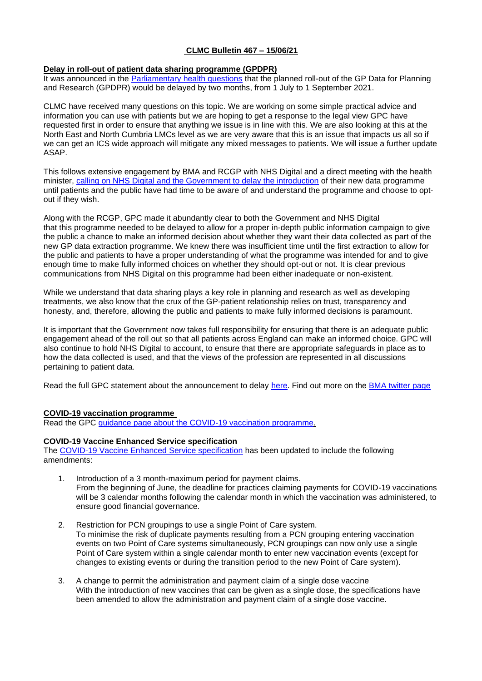# **CLMC Bulletin 467 – 15/06/21**

## **Delay in roll-out of patient data sharing programme (GPDPR)**

It was announced in the **[Parliamentary health questions](https://parliamentlive.tv/event/index/0aba1ed3-335d-4746-a65c-886b8adac067?in=12:00:47&out=12:02:51)** that the planned roll-out of the GP Data for Planning and Research (GPDPR) would be delayed by two months, from 1 July to 1 September 2021.

CLMC have received many questions on this topic. We are working on some simple practical advice and information you can use with patients but we are hoping to get a response to the legal view GPC have requested first in order to ensure that anything we issue is in line with this. We are also looking at this at the North East and North Cumbria LMCs level as we are very aware that this is an issue that impacts us all so if we can get an ICS wide approach will mitigate any mixed messages to patients. We will issue a further update ASAP.

This follows extensive engagement by BMA and RCGP with NHS Digital and a direct meeting with the health minister, [calling on NHS Digital and the Government to delay the introduction](https://www.bma.org.uk/bma-media-centre/bma-calls-for-delay-in-roll-out-of-patient-data-sharing-programme) of their new data programme until patients and the public have had time to be aware of and understand the programme and choose to optout if they wish.

Along with the RCGP, GPC made it abundantly clear to both the Government and NHS Digital that this programme needed to be delayed to allow for a proper in-depth public information campaign to give the public a chance to make an informed decision about whether they want their data collected as part of the new GP data extraction programme. We knew there was insufficient time until the first extraction to allow for the public and patients to have a proper understanding of what the programme was intended for and to give enough time to make fully informed choices on whether they should opt-out or not. It is clear previous communications from NHS Digital on this programme had been either inadequate or non-existent.

While we understand that data sharing plays a key role in planning and research as well as developing treatments, we also know that the crux of the GP-patient relationship relies on trust, transparency and honesty, and, therefore, allowing the public and patients to make fully informed decisions is paramount.

It is important that the Government now takes full responsibility for ensuring that there is an adequate public engagement ahead of the roll out so that all patients across England can make an informed choice. GPC will also continue to hold NHS Digital to account, to ensure that there are appropriate safeguards in place as to how the data collected is used, and that the views of the profession are represented in all discussions pertaining to patient data.

Read the full GPC statement about the announcement to delay [here.](https://www.bma.org.uk/bma-media-centre/bma-says-ministers-listened-to-association-s-call-to-delay-roll-out-of-the-patient-data-sharing-programme-and-it-was-the-right-thing-to-do) Find out more on the [BMA twitter page](https://twitter.com/TheBMA/status/1402220302147506179)

## **COVID-19 vaccination programme**

Read the GPC [guidance page about the COVID-19 vaccination programme.](https://www.bma.org.uk/advice-and-support/covid-19/gp-practices/covid-19-vaccination-programme)

## **COVID-19 Vaccine Enhanced Service specification**

The [COVID-19 Vaccine Enhanced Service specification](https://www.england.nhs.uk/coronavirus/publication/ess-vaccination-programme/) has been updated to include the following amendments:

- 1. Introduction of a 3 month-maximum period for payment claims. From the beginning of June, the deadline for practices claiming payments for COVID-19 vaccinations will be 3 calendar months following the calendar month in which the vaccination was administered, to ensure good financial governance.
- 2. Restriction for PCN groupings to use a single Point of Care system. To minimise the risk of duplicate payments resulting from a PCN grouping entering vaccination events on two Point of Care systems simultaneously, PCN groupings can now only use a single Point of Care system within a single calendar month to enter new vaccination events (except for changes to existing events or during the transition period to the new Point of Care system).
- 3. A change to permit the administration and payment claim of a single dose vaccine With the introduction of new vaccines that can be given as a single dose, the specifications have been amended to allow the administration and payment claim of a single dose vaccine.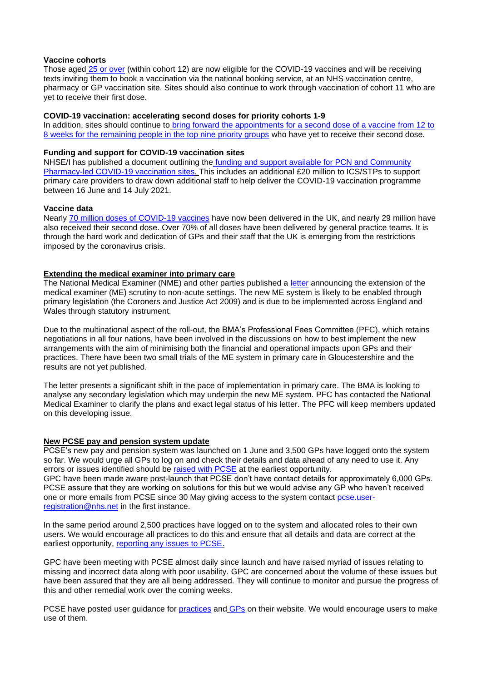#### **Vaccine cohorts**

Those aged [25 or over](https://www.england.nhs.uk/2021/06/nhs-covid-vaccine-first-dose-drive-enters-the-home-straight-as-final-cohort-called-forward) (within cohort 12) are now eligible for the COVID-19 vaccines and will be receiving texts inviting them to book a vaccination via the national booking service, at an NHS vaccination centre, pharmacy or GP vaccination site. Sites should also continue to work through vaccination of cohort 11 who are yet to receive their first dose.

#### **COVID-19 vaccination: accelerating second doses for priority cohorts 1-9**

In addition, sites should continue to [bring forward the appointments for a second dose of a vaccine from 12 to](https://www.england.nhs.uk/coronavirus/publication/covid-19-vaccination-accelerating-second-doses-for-priority-cohorts-1-9)  [8 weeks for the remaining people in the top nine priority groups](https://www.england.nhs.uk/coronavirus/publication/covid-19-vaccination-accelerating-second-doses-for-priority-cohorts-1-9) who have yet to receive their second dose.

## **Funding and support for COVID-19 vaccination sites**

NHSE/I has published a document outlining the [funding and support available for PCN and Community](https://www.england.nhs.uk/coronavirus/publication/further-funding-and-support-for-pcn-and-community-pharmacy-led-covid-19-vaccination-sites/)  [Pharmacy-led COVID-19 vaccination sites.](https://www.england.nhs.uk/coronavirus/publication/further-funding-and-support-for-pcn-and-community-pharmacy-led-covid-19-vaccination-sites/) This includes an additional £20 million to ICS/STPs to support primary care providers to draw down additional staff to help deliver the COVID-19 vaccination programme between 16 June and 14 July 2021.

## **Vaccine data**

Nearly [70 million doses of COVID-19 vaccines](https://coronavirus.data.gov.uk/details/vaccinations) have now been delivered in the UK, and nearly 29 million have also received their second dose. Over 70% of all doses have been delivered by general practice teams. It is through the hard work and dedication of GPs and their staff that the UK is emerging from the restrictions imposed by the coronavirus crisis.

## **Extending the medical examiner into primary care**

The National Medical Examiner (NME) and other parties published a [letter](https://www.england.nhs.uk/publication/system-letter-extending-medical-examiner-scrutiny-to-non-acute-settings/) announcing the extension of the medical examiner (ME) scrutiny to non-acute settings. The new ME system is likely to be enabled through primary legislation (the Coroners and Justice Act 2009) and is due to be implemented across England and Wales through statutory instrument.

Due to the multinational aspect of the roll-out, the BMA's Professional Fees Committee (PFC), which retains negotiations in all four nations, have been involved in the discussions on how to best implement the new arrangements with the aim of minimising both the financial and operational impacts upon GPs and their practices. There have been two small trials of the ME system in primary care in Gloucestershire and the results are not yet published.

The letter presents a significant shift in the pace of implementation in primary care. The BMA is looking to analyse any secondary legislation which may underpin the new ME system. PFC has contacted the National Medical Examiner to clarify the plans and exact legal status of his letter. The PFC will keep members updated on this developing issue.

#### **New PCSE pay and pension system update**

PCSE's new pay and pension system was launched on 1 June and 3,500 GPs have logged onto the system so far. We would urge all GPs to log on and check their details and data ahead of any need to use it. Any errors or issues identified should be [raised with PCSE](https://pcse.england.nhs.uk/contact-us/?utm_source=The%20British%20Medical%20Association&utm_medium=email&utm_campaign=12427736_GP%20ENEWSLETTER%2003062021&utm_content=raise%20issues&dm_t=0,0,0,0,0) at the earliest opportunity. GPC have been made aware post-launch that PCSE don't have contact details for approximately 6,000 GPs. PCSE assure that they are working on solutions for this but we would advise any GP who haven't received one or more emails from PCSE since 30 May giving access to the system contact [pcse.user](mailto:pcse.user-registration@nhs.net)[registration@nhs.net](mailto:pcse.user-registration@nhs.net) in the first instance.

In the same period around 2,500 practices have logged on to the system and allocated roles to their own users. We would encourage all practices to do this and ensure that all details and data are correct at the earliest opportunity, [reporting any issues to PCSE.](https://pcse.england.nhs.uk/contact-us/?utm_source=The%20British%20Medical%20Association&utm_medium=email&utm_campaign=12427736_GP%20ENEWSLETTER%2003062021&utm_content=raise%20issues&dm_t=0,0,0,0,0)

GPC have been meeting with PCSE almost daily since launch and have raised myriad of issues relating to missing and incorrect data along with poor usability. GPC are concerned about the volume of these issues but have been assured that they are all being addressed. They will continue to monitor and pursue the progress of this and other remedial work over the coming weeks.

PCSE have posted user guidance for [practices](https://pcse.england.nhs.uk/services/gp-payments/practices) and [GPs](https://pcse.england.nhs.uk/services/gp-pensions) on their website. We would encourage users to make use of them.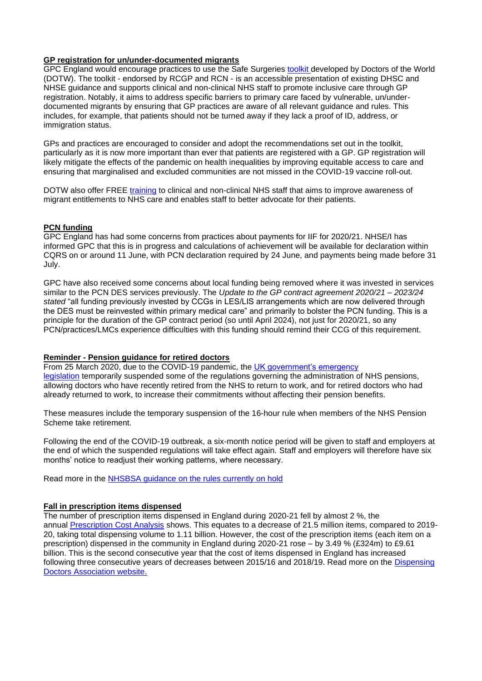## **GP registration for un/under-documented migrants**

GPC England would encourage practices to use the Safe Surgeries [toolkit](https://www.doctorsoftheworld.org.uk/wp-content/uploads/2020/09/Safe-surgeries-toolkit-2020.pdf) developed by Doctors of the World (DOTW). The toolkit - endorsed by RCGP and RCN - is an accessible presentation of existing DHSC and NHSE guidance and supports clinical and non-clinical NHS staff to promote inclusive care through GP registration. Notably, it aims to address specific barriers to primary care faced by vulnerable, un/underdocumented migrants by ensuring that GP practices are aware of all relevant guidance and rules. This includes, for example, that patients should not be turned away if they lack a proof of ID, address, or immigration status.

GPs and practices are encouraged to consider and adopt the recommendations set out in the toolkit, particularly as it is now more important than ever that patients are registered with a GP. GP registration will likely mitigate the effects of the pandemic on health inequalities by improving equitable access to care and ensuring that marginalised and excluded communities are not missed in the COVID-19 vaccine roll-out.

DOTW also offer FREE [training](https://www.doctorsoftheworld.org.uk/what-we-stand-for/supporting-medics/training/) to clinical and non-clinical NHS staff that aims to improve awareness of migrant entitlements to NHS care and enables staff to better advocate for their patients.

## **PCN funding**

GPC England has had some concerns from practices about payments for IIF for 2020/21. NHSE/I has informed GPC that this is in progress and calculations of achievement will be available for declaration within CQRS on or around 11 June, with PCN declaration required by 24 June, and payments being made before 31 July.

GPC have also received some concerns about local funding being removed where it was invested in services similar to the PCN DES services previously. The *Update to the GP contract agreement 2020/21 – 2023/24 stated* "all funding previously invested by CCGs in LES/LIS arrangements which are now delivered through the DES must be reinvested within primary medical care" and primarily to bolster the PCN funding. This is a principle for the duration of the GP contract period (so until April 2024), not just for 2020/21, so any PCN/practices/LMCs experience difficulties with this funding should remind their CCG of this requirement.

#### **Reminder - Pension guidance for retired doctors**

From 25 March 2020, due to the COVID-19 pandemic, the UK government's emergency [legislation](https://www.gov.uk/government/publications/coronavirus-bill-what-it-will-do/what-the-coronavirus-bill-will-do) temporarily suspended some of the regulations governing the administration of NHS pensions, allowing doctors who have recently retired from the NHS to return to work, and for retired doctors who had already returned to work, to increase their commitments without affecting their pension benefits.

These measures include the temporary suspension of the 16-hour rule when members of the NHS Pension Scheme take retirement.

Following the end of the COVID-19 outbreak, a six-month notice period will be given to staff and employers at the end of which the suspended regulations will take effect again. Staff and employers will therefore have six months' notice to readjust their working patterns, where necessary.

Read more in the [NHSBSA guidance on the rules currently on hold](https://www.nhsbsa.nhs.uk/pensioner-hub/covid-19-guidance-support-retired-members)

#### **Fall in prescription items dispensed**

The number of prescription items dispensed in England during 2020-21 fell by almost 2 %, the annual [Prescription Cost Analysis](https://bit.ly/3x95lck) shows. This equates to a decrease of 21.5 million items, compared to 2019- 20, taking total dispensing volume to 1.11 billion. However, the cost of the prescription items (each item on a prescription) dispensed in the community in England during 2020-21 rose – by 3.49 % (£324m) to £9.61 billion. This is the second consecutive year that the cost of items dispensed in England has increased following three consecutive years of decreases between 2015/16 and 2018/19. Read more on the [Dispensing](https://dispensingdoctor.org/news/prescription-volumes-fall-in-england-by-2-per-cent/)  [Doctors Association website.](https://dispensingdoctor.org/news/prescription-volumes-fall-in-england-by-2-per-cent/)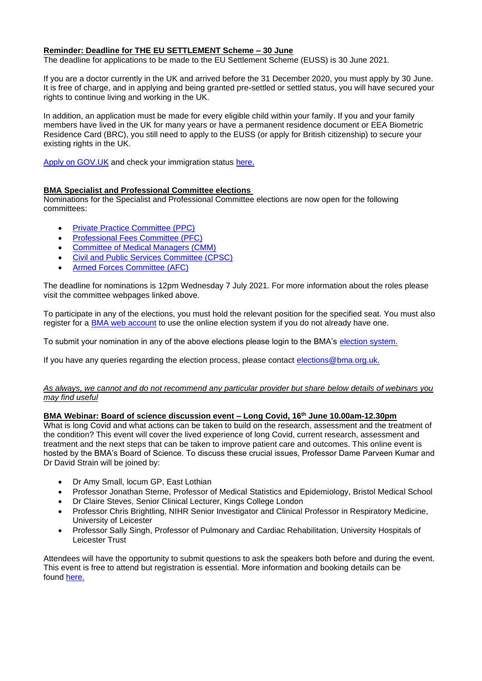## **Reminder: Deadline for THE EU SETTLEMENT Scheme – 30 June**

The deadline for applications to be made to the EU Settlement Scheme (EUSS) is 30 June 2021.

If you are a doctor currently in the UK and arrived before the 31 December 2020, you must apply by 30 June. It is free of charge, and in applying and being granted pre-settled or settled status, you will have secured your rights to continue living and working in the UK.

In addition, an application must be made for every eligible child within your family. If you and your family members have lived in the UK for many years or have a permanent residence document or EEA Biometric Residence Card (BRC), you still need to apply to the EUSS (or apply for British citizenship) to secure your existing rights in the UK.

[Apply on GOV.UK](https://response.smartcdn.co.uk/homeofficeR4/mailresponse.asp?tid=20538&em=13608104&turl=https://www.gov.uk/settled-status-eu-citizens-families/applying-for-settled-status) and check your immigration status [here.](https://www.gov.uk/view-prove-immigration-status)

## **BMA Specialist and Professional Committee elections**

Nominations for the Specialist and Professional Committee elections are now open for the following committees:

- **[Private Practice Committee \(PPC\)](https://www.bma.org.uk/what-we-do/committees/private-practice-committee/private-practice-committee-overview)**
- [Professional Fees Committee \(PFC\)](https://www.bma.org.uk/what-we-do/committees/professional-fees-committee/professional-fees-committee-overview)
- [Committee of Medical Managers \(CMM\)](https://www.bma.org.uk/what-we-do/committees/committee-for-medical-managers/committee-for-medical-managers-overview)
- [Civil and Public Services Committee \(CPSC\)](https://www.bma.org.uk/what-we-do/committees/civil-and-public-services-committee/civil-and-public-services-committee-overview)
- [Armed Forces Committee \(AFC\)](https://www.bma.org.uk/what-we-do/committees/armed-forces-committee/armed-forces-committee-overview)

The deadline for nominations is 12pm Wednesday 7 July 2021. For more information about the roles please visit the committee webpages linked above.

To participate in any of the elections, you must hold the relevant position for the specified seat. You must also register for a [BMA web account](https://www.bma.org.uk/about-us/about-the-bma/bma-website/bma-website-help) to use the online election system if you do not already have one.

To submit your nomination in any of the above elections please login to the BMA's [election system.](https://elections.bma.org.uk/)

If you have any queries regarding the election process, please contact [elections@bma.org.uk.](mailto:elections@bma.org.uk)

#### *As always, we cannot and do not recommend any particular provider but share below details of webinars you may find useful*

#### **BMA Webinar: Board of science discussion event – Long Covid, 16th June 10.00am-12.30pm**

What is long Covid and what actions can be taken to build on the research, assessment and the treatment of the condition? This event will cover the lived experience of long Covid, current research, assessment and treatment and the next steps that can be taken to improve patient care and outcomes. This online event is hosted by the BMA's Board of Science. To discuss these crucial issues, Professor Dame Parveen Kumar and Dr David Strain will be joined by:

- Dr Amy Small, locum GP, East Lothian
- Professor Jonathan Sterne, Professor of Medical Statistics and Epidemiology, Bristol Medical School
- Dr Claire Steves, Senior Clinical Lecturer, Kings College London
- Professor Chris Brightling, NIHR Senior Investigator and Clinical Professor in Respiratory Medicine, University of Leicester
- Professor Sally Singh, Professor of Pulmonary and Cardiac Rehabilitation, University Hospitals of Leicester Trust

Attendees will have the opportunity to submit questions to ask the speakers both before and during the event. This event is free to attend but registration is essential. More information and booking details can be found [here.](https://www.bma.org.uk/events/bma-board-of-science-in-discussion-about-long-covid)